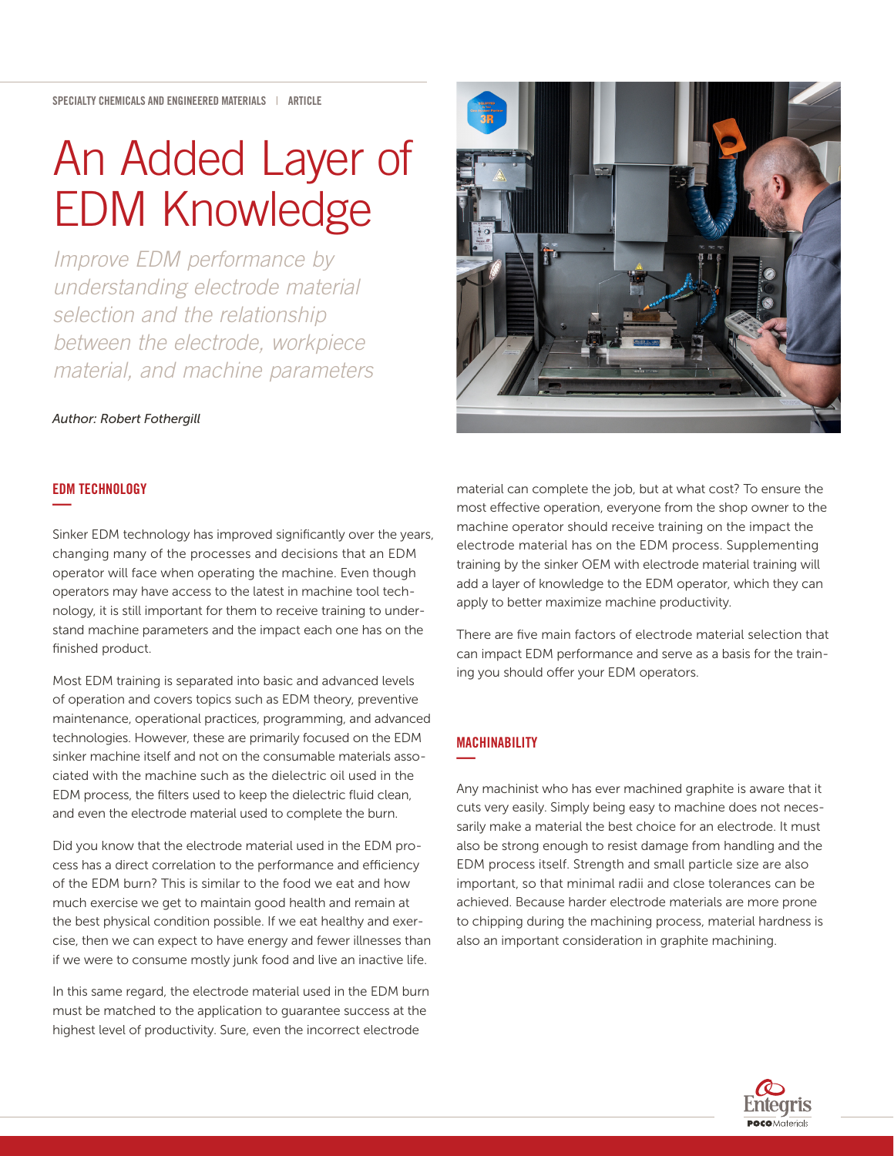# An Added Layer of EDM Knowledge

*Improve EDM performance by understanding electrode material selection and the relationship between the electrode, workpiece material, and machine parameters*

#### *Author: Robert Fothergill*

#### EDM TECHNOLOGY **—**

Sinker EDM technology has improved significantly over the years, changing many of the processes and decisions that an EDM operator will face when operating the machine. Even though operators may have access to the latest in machine tool technology, it is still important for them to receive training to understand machine parameters and the impact each one has on the finished product.

Most EDM training is separated into basic and advanced levels of operation and covers topics such as EDM theory, preventive maintenance, operational practices, programming, and advanced technologies. However, these are primarily focused on the EDM sinker machine itself and not on the consumable materials associated with the machine such as the dielectric oil used in the EDM process, the filters used to keep the dielectric fluid clean, and even the electrode material used to complete the burn.

Did you know that the electrode material used in the EDM process has a direct correlation to the performance and efficiency of the EDM burn? This is similar to the food we eat and how much exercise we get to maintain good health and remain at the best physical condition possible. If we eat healthy and exercise, then we can expect to have energy and fewer illnesses than if we were to consume mostly junk food and live an inactive life.

In this same regard, the electrode material used in the EDM burn must be matched to the application to guarantee success at the highest level of productivity. Sure, even the incorrect electrode



material can complete the job, but at what cost? To ensure the most effective operation, everyone from the shop owner to the machine operator should receive training on the impact the electrode material has on the EDM process. Supplementing training by the sinker OEM with electrode material training will add a layer of knowledge to the EDM operator, which they can apply to better maximize machine productivity.

There are five main factors of electrode material selection that can impact EDM performance and serve as a basis for the training you should offer your EDM operators.

## MACHINABILITY **—**

Any machinist who has ever machined graphite is aware that it cuts very easily. Simply being easy to machine does not necessarily make a material the best choice for an electrode. It must also be strong enough to resist damage from handling and the EDM process itself. Strength and small particle size are also important, so that minimal radii and close tolerances can be achieved. Because harder electrode materials are more prone to chipping during the machining process, material hardness is also an important consideration in graphite machining.

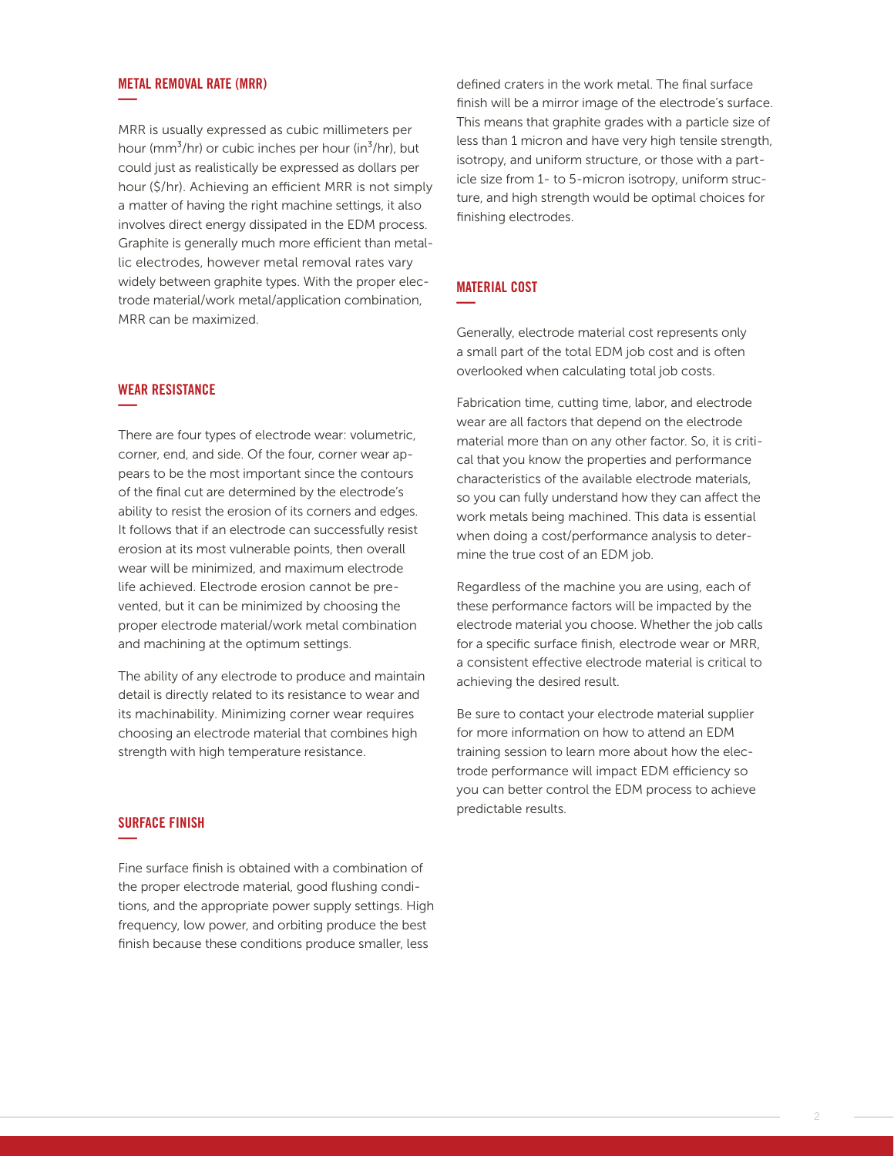#### METAL REMOVAL RATE (MRR) **—**

MRR is usually expressed as cubic millimeters per hour (mm<sup>3</sup>/hr) or cubic inches per hour (in<sup>3</sup>/hr), but could just as realistically be expressed as dollars per hour (\$/hr). Achieving an efficient MRR is not simply a matter of having the right machine settings, it also involves direct energy dissipated in the EDM process. Graphite is generally much more efficient than metallic electrodes, however metal removal rates vary widely between graphite types. With the proper electrode material/work metal/application combination, MRR can be maximized.

#### WEAR RESISTANCE **—**

There are four types of electrode wear: volumetric, corner, end, and side. Of the four, corner wear appears to be the most important since the contours of the final cut are determined by the electrode's ability to resist the erosion of its corners and edges. It follows that if an electrode can successfully resist erosion at its most vulnerable points, then overall wear will be minimized, and maximum electrode life achieved. Electrode erosion cannot be prevented, but it can be minimized by choosing the proper electrode material/work metal combination and machining at the optimum settings.

The ability of any electrode to produce and maintain detail is directly related to its resistance to wear and its machinability. Minimizing corner wear requires choosing an electrode material that combines high strength with high temperature resistance.

### SURFACE FINISH **—**

Fine surface finish is obtained with a combination of the proper electrode material, good flushing conditions, and the appropriate power supply settings. High frequency, low power, and orbiting produce the best finish because these conditions produce smaller, less

defined craters in the work metal. The final surface finish will be a mirror image of the electrode's surface. This means that graphite grades with a particle size of less than 1 micron and have very high tensile strength, isotropy, and uniform structure, or those with a particle size from 1- to 5-micron isotropy, uniform structure, and high strength would be optimal choices for finishing electrodes.

### MATERIAL COST **—**

Generally, electrode material cost represents only a small part of the total EDM job cost and is often overlooked when calculating total job costs.

Fabrication time, cutting time, labor, and electrode wear are all factors that depend on the electrode material more than on any other factor. So, it is critical that you know the properties and performance characteristics of the available electrode materials, so you can fully understand how they can affect the work metals being machined. This data is essential when doing a cost/performance analysis to determine the true cost of an EDM job.

Regardless of the machine you are using, each of these performance factors will be impacted by the electrode material you choose. Whether the job calls for a specific surface finish, electrode wear or MRR, a consistent effective electrode material is critical to achieving the desired result.

Be sure to contact your electrode material supplier for more information on how to attend an EDM training session to learn more about how the electrode performance will impact EDM efficiency so you can better control the EDM process to achieve predictable results.